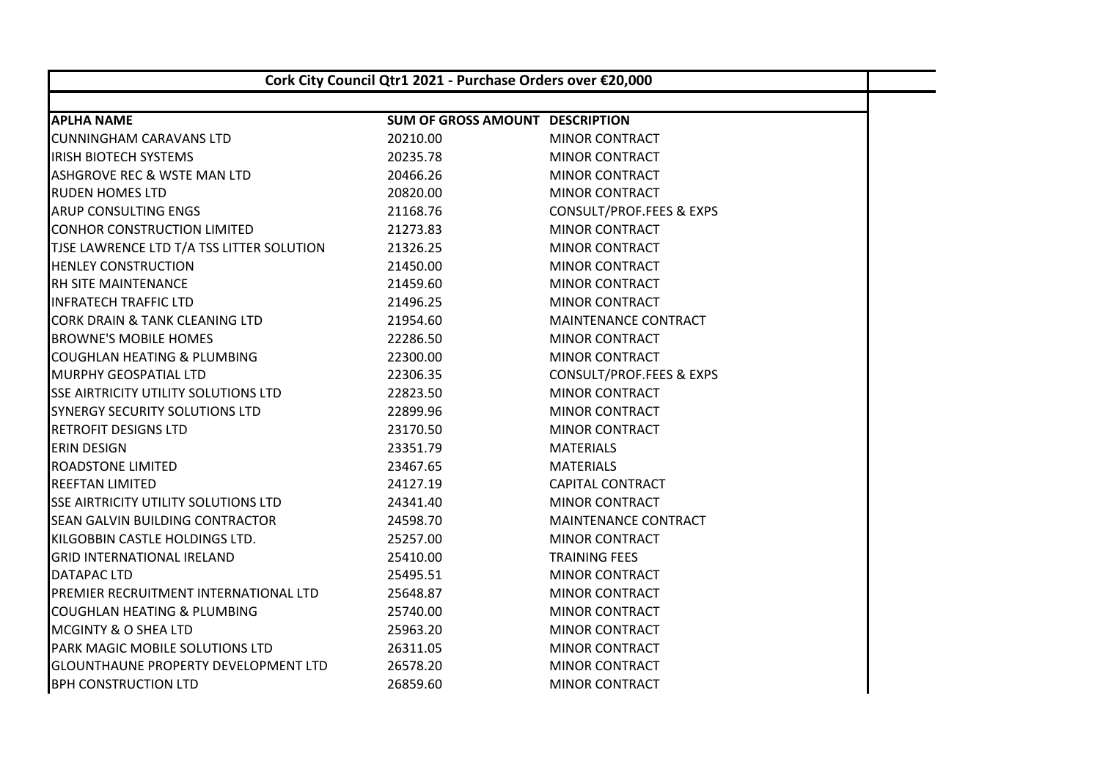| Cork City Council Qtr1 2021 - Purchase Orders over €20,000 |                                        |                                     |  |  |
|------------------------------------------------------------|----------------------------------------|-------------------------------------|--|--|
| <b>APLHA NAME</b>                                          | <b>SUM OF GROSS AMOUNT DESCRIPTION</b> |                                     |  |  |
| <b>CUNNINGHAM CARAVANS LTD</b>                             | 20210.00                               | <b>MINOR CONTRACT</b>               |  |  |
| <b>IRISH BIOTECH SYSTEMS</b>                               | 20235.78                               | <b>MINOR CONTRACT</b>               |  |  |
| ASHGROVE REC & WSTE MAN LTD                                | 20466.26                               | <b>MINOR CONTRACT</b>               |  |  |
| <b>RUDEN HOMES LTD</b>                                     | 20820.00                               | <b>MINOR CONTRACT</b>               |  |  |
| ARUP CONSULTING ENGS                                       | 21168.76                               | CONSULT/PROF.FEES & EXPS            |  |  |
| <b>CONHOR CONSTRUCTION LIMITED</b>                         | 21273.83                               | <b>MINOR CONTRACT</b>               |  |  |
| TJSE LAWRENCE LTD T/A TSS LITTER SOLUTION                  | 21326.25                               |                                     |  |  |
| <b>HENLEY CONSTRUCTION</b>                                 | 21450.00                               | <b>MINOR CONTRACT</b>               |  |  |
|                                                            |                                        | <b>MINOR CONTRACT</b>               |  |  |
| RH SITE MAINTENANCE                                        | 21459.60                               | <b>MINOR CONTRACT</b>               |  |  |
| <b>INFRATECH TRAFFIC LTD</b>                               | 21496.25                               | <b>MINOR CONTRACT</b>               |  |  |
| <b>CORK DRAIN &amp; TANK CLEANING LTD</b>                  | 21954.60                               | MAINTENANCE CONTRACT                |  |  |
| <b>BROWNE'S MOBILE HOMES</b>                               | 22286.50                               | <b>MINOR CONTRACT</b>               |  |  |
| COUGHLAN HEATING & PLUMBING                                | 22300.00                               | <b>MINOR CONTRACT</b>               |  |  |
| <b>MURPHY GEOSPATIAL LTD</b>                               | 22306.35                               | <b>CONSULT/PROF.FEES &amp; EXPS</b> |  |  |
| <b>SSE AIRTRICITY UTILITY SOLUTIONS LTD</b>                | 22823.50                               | MINOR CONTRACT                      |  |  |
| <b>SYNERGY SECURITY SOLUTIONS LTD</b>                      | 22899.96                               | <b>MINOR CONTRACT</b>               |  |  |
| <b>RETROFIT DESIGNS LTD</b>                                | 23170.50                               | <b>MINOR CONTRACT</b>               |  |  |
| <b>ERIN DESIGN</b>                                         | 23351.79                               | <b>MATERIALS</b>                    |  |  |
| <b>ROADSTONE LIMITED</b>                                   | 23467.65                               | <b>MATERIALS</b>                    |  |  |
| <b>REEFTAN LIMITED</b>                                     | 24127.19                               | <b>CAPITAL CONTRACT</b>             |  |  |
| <b>SSE AIRTRICITY UTILITY SOLUTIONS LTD</b>                | 24341.40                               | <b>MINOR CONTRACT</b>               |  |  |
| <b>SEAN GALVIN BUILDING CONTRACTOR</b>                     | 24598.70                               | <b>MAINTENANCE CONTRACT</b>         |  |  |
| KILGOBBIN CASTLE HOLDINGS LTD.                             | 25257.00                               | <b>MINOR CONTRACT</b>               |  |  |
| <b>GRID INTERNATIONAL IRELAND</b>                          | 25410.00                               | <b>TRAINING FEES</b>                |  |  |
| <b>DATAPAC LTD</b>                                         | 25495.51                               | <b>MINOR CONTRACT</b>               |  |  |
| PREMIER RECRUITMENT INTERNATIONAL LTD                      | 25648.87                               | <b>MINOR CONTRACT</b>               |  |  |
| COUGHLAN HEATING & PLUMBING                                | 25740.00                               | <b>MINOR CONTRACT</b>               |  |  |
| <b>MCGINTY &amp; O SHEA LTD</b>                            | 25963.20                               | <b>MINOR CONTRACT</b>               |  |  |
| PARK MAGIC MOBILE SOLUTIONS LTD                            | 26311.05                               | <b>MINOR CONTRACT</b>               |  |  |
| <b>GLOUNTHAUNE PROPERTY DEVELOPMENT LTD</b>                | 26578.20                               | <b>MINOR CONTRACT</b>               |  |  |
| <b>BPH CONSTRUCTION LTD</b>                                | 26859.60                               | <b>MINOR CONTRACT</b>               |  |  |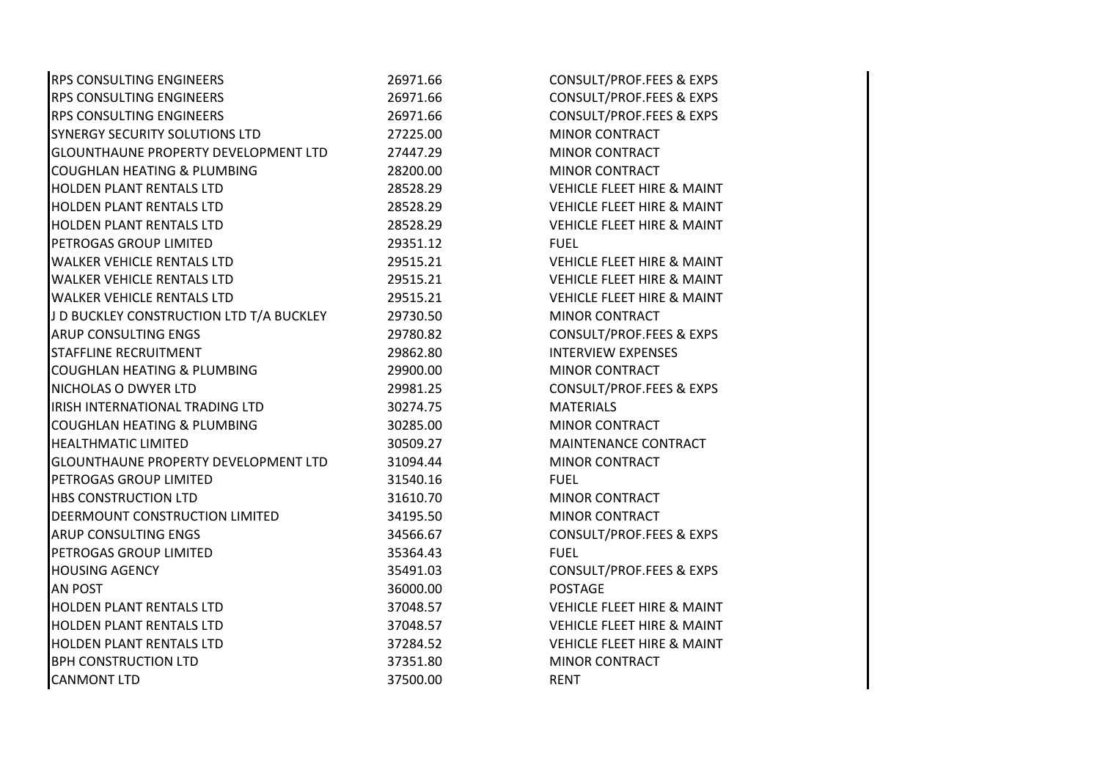| <b>RPS CONSULTING ENGINEERS</b>             | 26971.66 | <b>CONSULT/PROF.FEES &amp; EXPS</b>   |
|---------------------------------------------|----------|---------------------------------------|
| RPS CONSULTING ENGINEERS                    | 26971.66 | CONSULT/PROF.FEES & EXPS              |
| <b>RPS CONSULTING ENGINEERS</b>             | 26971.66 | CONSULT/PROF.FEES & EXPS              |
| SYNERGY SECURITY SOLUTIONS LTD              | 27225.00 | <b>MINOR CONTRACT</b>                 |
| <b>GLOUNTHAUNE PROPERTY DEVELOPMENT LTD</b> | 27447.29 | <b>MINOR CONTRACT</b>                 |
| <b>COUGHLAN HEATING &amp; PLUMBING</b>      | 28200.00 | MINOR CONTRACT                        |
| HOLDEN PLANT RENTALS LTD                    | 28528.29 | <b>VEHICLE FLEET HIRE &amp; MAINT</b> |
| <b>HOLDEN PLANT RENTALS LTD</b>             | 28528.29 | <b>VEHICLE FLEET HIRE &amp; MAINT</b> |
| <b>HOLDEN PLANT RENTALS LTD</b>             | 28528.29 | <b>VEHICLE FLEET HIRE &amp; MAINT</b> |
| PETROGAS GROUP LIMITED                      | 29351.12 | <b>FUEL</b>                           |
| <b>WALKER VEHICLE RENTALS LTD</b>           | 29515.21 | VEHICLE FLEET HIRE & MAINT            |
| <b>WALKER VEHICLE RENTALS LTD</b>           | 29515.21 | <b>VEHICLE FLEET HIRE &amp; MAINT</b> |
| <b>WALKER VEHICLE RENTALS LTD</b>           | 29515.21 | <b>VEHICLE FLEET HIRE &amp; MAINT</b> |
| J D BUCKLEY CONSTRUCTION LTD T/A BUCKLEY    | 29730.50 | <b>MINOR CONTRACT</b>                 |
| ARUP CONSULTING ENGS                        | 29780.82 | CONSULT/PROF.FEES & EXPS              |
| STAFFLINE RECRUITMENT                       | 29862.80 | <b>INTERVIEW EXPENSES</b>             |
| <b>COUGHLAN HEATING &amp; PLUMBING</b>      | 29900.00 | <b>MINOR CONTRACT</b>                 |
| NICHOLAS O DWYER LTD                        | 29981.25 | <b>CONSULT/PROF.FEES &amp; EXPS</b>   |
| IRISH INTERNATIONAL TRADING LTD             | 30274.75 | <b>MATERIALS</b>                      |
| <b>COUGHLAN HEATING &amp; PLUMBING</b>      | 30285.00 | <b>MINOR CONTRACT</b>                 |
| <b>HEALTHMATIC LIMITED</b>                  | 30509.27 | MAINTENANCE CONTRACT                  |
| GLOUNTHAUNE PROPERTY DEVELOPMENT LTD        | 31094.44 | <b>MINOR CONTRACT</b>                 |
| PETROGAS GROUP LIMITED                      | 31540.16 | <b>FUEL</b>                           |
| <b>HBS CONSTRUCTION LTD</b>                 | 31610.70 | <b>MINOR CONTRACT</b>                 |
| DEERMOUNT CONSTRUCTION LIMITED              | 34195.50 | <b>MINOR CONTRACT</b>                 |
| <b>ARUP CONSULTING ENGS</b>                 | 34566.67 | CONSULT/PROF.FEES & EXPS              |
| PETROGAS GROUP LIMITED                      | 35364.43 | <b>FUEL</b>                           |
| <b>HOUSING AGENCY</b>                       | 35491.03 | CONSULT/PROF.FEES & EXPS              |
| <b>AN POST</b>                              | 36000.00 | <b>POSTAGE</b>                        |
| <b>HOLDEN PLANT RENTALS LTD</b>             | 37048.57 | <b>VEHICLE FLEET HIRE &amp; MAINT</b> |
| HOLDEN PLANT RENTALS LTD                    | 37048.57 | <b>VEHICLE FLEET HIRE &amp; MAINT</b> |
| <b>HOLDEN PLANT RENTALS LTD</b>             | 37284.52 | <b>VEHICLE FLEET HIRE &amp; MAINT</b> |
| <b>BPH CONSTRUCTION LTD</b>                 | 37351.80 | <b>MINOR CONTRACT</b>                 |
| <b>CANMONT LTD</b>                          | 37500.00 | <b>RENT</b>                           |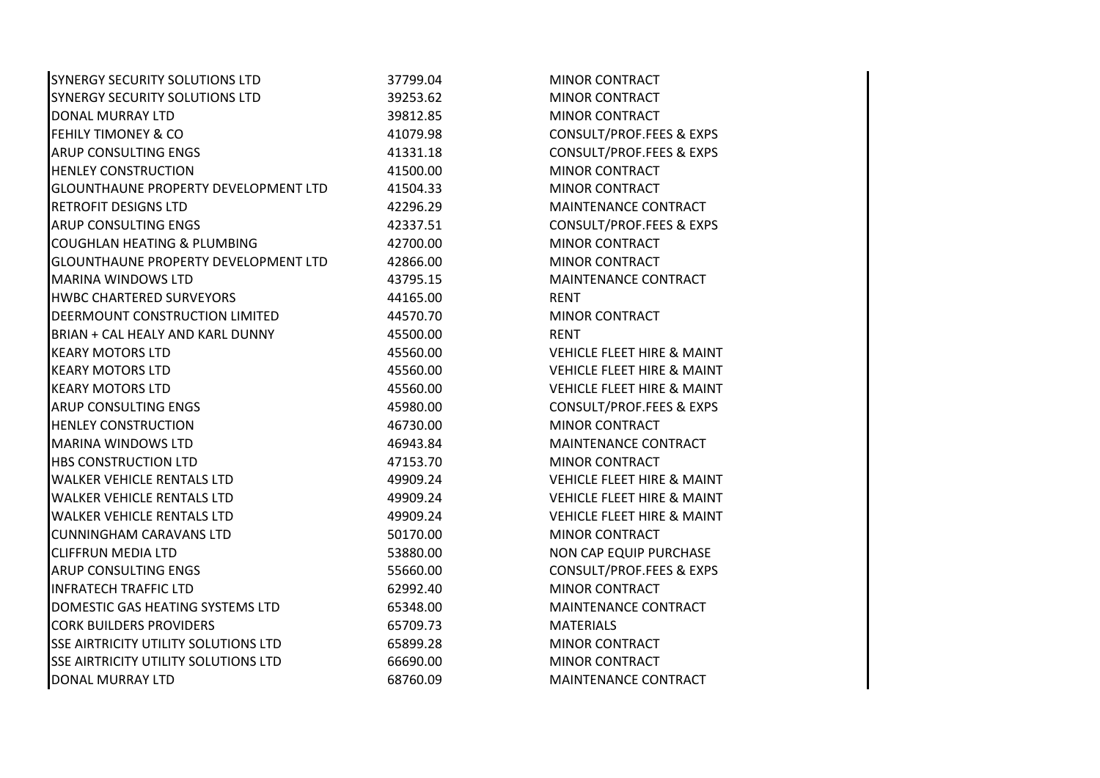| SYNERGY SECURITY SOLUTIONS LTD              | 37799.04 | <b>MINOR CONTRACT</b>                 |  |
|---------------------------------------------|----------|---------------------------------------|--|
| SYNERGY SECURITY SOLUTIONS LTD              | 39253.62 | <b>MINOR CONTRACT</b>                 |  |
| DONAL MURRAY LTD                            | 39812.85 | <b>MINOR CONTRACT</b>                 |  |
| <b>FEHILY TIMONEY &amp; CO</b>              | 41079.98 | <b>CONSULT/PROF.FEES &amp; EXPS</b>   |  |
| ARUP CONSULTING ENGS                        | 41331.18 | CONSULT/PROF.FEES & EXPS              |  |
| <b>HENLEY CONSTRUCTION</b>                  | 41500.00 | <b>MINOR CONTRACT</b>                 |  |
| <b>GLOUNTHAUNE PROPERTY DEVELOPMENT LTD</b> | 41504.33 | <b>MINOR CONTRACT</b>                 |  |
| <b>RETROFIT DESIGNS LTD</b>                 | 42296.29 | MAINTENANCE CONTRACT                  |  |
| <b>ARUP CONSULTING ENGS</b>                 | 42337.51 | CONSULT/PROF.FEES & EXPS              |  |
| <b>COUGHLAN HEATING &amp; PLUMBING</b>      | 42700.00 | <b>MINOR CONTRACT</b>                 |  |
| GLOUNTHAUNE PROPERTY DEVELOPMENT LTD        | 42866.00 | MINOR CONTRACT                        |  |
| <b>MARINA WINDOWS LTD</b>                   | 43795.15 | MAINTENANCE CONTRACT                  |  |
| <b>HWBC CHARTERED SURVEYORS</b>             | 44165.00 | <b>RENT</b>                           |  |
| DEERMOUNT CONSTRUCTION LIMITED              | 44570.70 | <b>MINOR CONTRACT</b>                 |  |
| BRIAN + CAL HEALY AND KARL DUNNY            | 45500.00 | <b>RENT</b>                           |  |
| <b>KEARY MOTORS LTD</b>                     | 45560.00 | <b>VEHICLE FLEET HIRE &amp; MAINT</b> |  |
| <b>KEARY MOTORS LTD</b>                     | 45560.00 | <b>VEHICLE FLEET HIRE &amp; MAINT</b> |  |
| <b>KEARY MOTORS LTD</b>                     | 45560.00 | <b>VEHICLE FLEET HIRE &amp; MAINT</b> |  |
| <b>ARUP CONSULTING ENGS</b>                 | 45980.00 | CONSULT/PROF.FEES & EXPS              |  |
| <b>HENLEY CONSTRUCTION</b>                  | 46730.00 | <b>MINOR CONTRACT</b>                 |  |
| <b>MARINA WINDOWS LTD</b>                   | 46943.84 | MAINTENANCE CONTRACT                  |  |
| <b>HBS CONSTRUCTION LTD</b>                 | 47153.70 | <b>MINOR CONTRACT</b>                 |  |
| <b>WALKER VEHICLE RENTALS LTD</b>           | 49909.24 | <b>VEHICLE FLEET HIRE &amp; MAINT</b> |  |
| <b>WALKER VEHICLE RENTALS LTD</b>           | 49909.24 | <b>VEHICLE FLEET HIRE &amp; MAINT</b> |  |
| <b>WALKER VEHICLE RENTALS LTD</b>           | 49909.24 | <b>VEHICLE FLEET HIRE &amp; MAINT</b> |  |
| <b>CUNNINGHAM CARAVANS LTD</b>              | 50170.00 | <b>MINOR CONTRACT</b>                 |  |
| <b>CLIFFRUN MEDIA LTD</b>                   | 53880.00 | NON CAP EQUIP PURCHASE                |  |
| <b>ARUP CONSULTING ENGS</b>                 | 55660.00 | CONSULT/PROF.FEES & EXPS              |  |
| <b>INFRATECH TRAFFIC LTD</b>                | 62992.40 | <b>MINOR CONTRACT</b>                 |  |
| DOMESTIC GAS HEATING SYSTEMS LTD            | 65348.00 | MAINTENANCE CONTRACT                  |  |
| <b>CORK BUILDERS PROVIDERS</b>              | 65709.73 | <b>MATERIALS</b>                      |  |
| <b>SSE AIRTRICITY UTILITY SOLUTIONS LTD</b> | 65899.28 | <b>MINOR CONTRACT</b>                 |  |
| <b>SSE AIRTRICITY UTILITY SOLUTIONS LTD</b> | 66690.00 | <b>MINOR CONTRACT</b>                 |  |
| <b>DONAL MURRAY LTD</b>                     | 68760.09 | MAINTENANCE CONTRACT                  |  |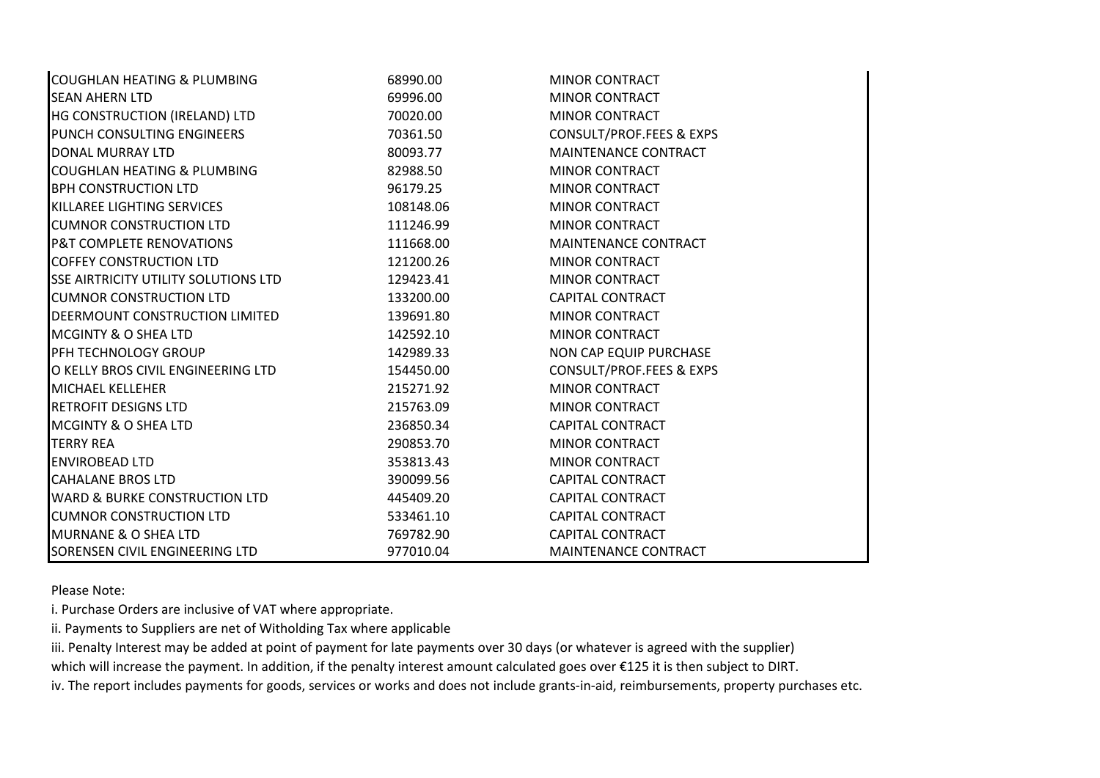| <b>COUGHLAN HEATING &amp; PLUMBING</b>      | 68990.00  | MINOR CONTRACT           |
|---------------------------------------------|-----------|--------------------------|
| <b>SEAN AHERN LTD</b>                       | 69996.00  | <b>MINOR CONTRACT</b>    |
| HG CONSTRUCTION (IRELAND) LTD               | 70020.00  | <b>MINOR CONTRACT</b>    |
| PUNCH CONSULTING ENGINEERS                  | 70361.50  | CONSULT/PROF.FEES & EXPS |
| DONAL MURRAY LTD                            | 80093.77  | MAINTENANCE CONTRACT     |
| <b>COUGHLAN HEATING &amp; PLUMBING</b>      | 82988.50  | <b>MINOR CONTRACT</b>    |
| <b>BPH CONSTRUCTION LTD</b>                 | 96179.25  | <b>MINOR CONTRACT</b>    |
| KILLAREE LIGHTING SERVICES                  | 108148.06 | <b>MINOR CONTRACT</b>    |
| <b>CUMNOR CONSTRUCTION LTD</b>              | 111246.99 | <b>MINOR CONTRACT</b>    |
| <b>P&amp;T COMPLETE RENOVATIONS</b>         | 111668.00 | MAINTENANCE CONTRACT     |
| <b>COFFEY CONSTRUCTION LTD</b>              | 121200.26 | <b>MINOR CONTRACT</b>    |
| <b>SSE AIRTRICITY UTILITY SOLUTIONS LTD</b> | 129423.41 | <b>MINOR CONTRACT</b>    |
| <b>CUMNOR CONSTRUCTION LTD</b>              | 133200.00 | <b>CAPITAL CONTRACT</b>  |
| DEERMOUNT CONSTRUCTION LIMITED              | 139691.80 | <b>MINOR CONTRACT</b>    |
| <b>MCGINTY &amp; O SHEA LTD</b>             | 142592.10 | <b>MINOR CONTRACT</b>    |
| PFH TECHNOLOGY GROUP                        | 142989.33 | NON CAP EQUIP PURCHASE   |
| O KELLY BROS CIVIL ENGINEERING LTD          | 154450.00 | CONSULT/PROF.FEES & EXPS |
| <b>MICHAEL KELLEHER</b>                     | 215271.92 | <b>MINOR CONTRACT</b>    |
| <b>RETROFIT DESIGNS LTD</b>                 | 215763.09 | MINOR CONTRACT           |
| <b>MCGINTY &amp; O SHEA LTD</b>             | 236850.34 | <b>CAPITAL CONTRACT</b>  |
| <b>TERRY REA</b>                            | 290853.70 | MINOR CONTRACT           |
| <b>ENVIROBEAD LTD</b>                       | 353813.43 | <b>MINOR CONTRACT</b>    |
| <b>CAHALANE BROS LTD</b>                    | 390099.56 | <b>CAPITAL CONTRACT</b>  |
| <b>WARD &amp; BURKE CONSTRUCTION LTD</b>    | 445409.20 | <b>CAPITAL CONTRACT</b>  |
| <b>CUMNOR CONSTRUCTION LTD</b>              | 533461.10 | <b>CAPITAL CONTRACT</b>  |
| <b>MURNANE &amp; O SHEA LTD</b>             | 769782.90 | <b>CAPITAL CONTRACT</b>  |
| SORENSEN CIVIL ENGINEERING LTD              | 977010.04 | MAINTENANCE CONTRACT     |

Please Note:

i. Purchase Orders are inclusive of VAT where appropriate.

ii. Payments to Suppliers are net of Witholding Tax where applicable

iii. Penalty Interest may be added at point of payment for late payments over 30 days (or whatever is agreed with the supplier)

which will increase the payment. In addition, if the penalty interest amount calculated goes over €125 it is then subject to DIRT.

iv. The report includes payments for goods, services or works and does not include grants-in-aid, reimbursements, property purchases etc.